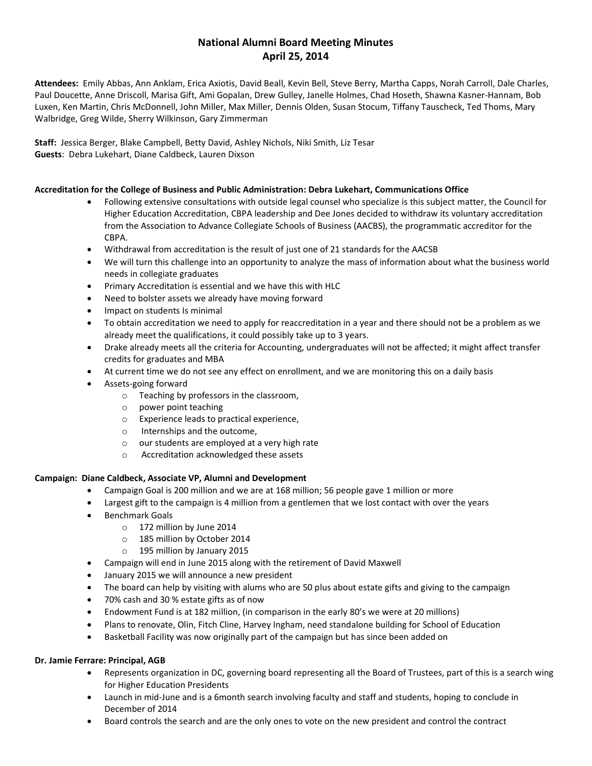# **National Alumni Board Meeting Minutes April 25, 2014**

**Attendees:** Emily Abbas, Ann Anklam, Erica Axiotis, David Beall, Kevin Bell, Steve Berry, Martha Capps, Norah Carroll, Dale Charles, Paul Doucette, Anne Driscoll, Marisa Gift, Ami Gopalan, Drew Gulley, Janelle Holmes, Chad Hoseth, Shawna Kasner-Hannam, Bob Luxen, Ken Martin, Chris McDonnell, John Miller, Max Miller, Dennis Olden, Susan Stocum, Tiffany Tauscheck, Ted Thoms, Mary Walbridge, Greg Wilde, Sherry Wilkinson, Gary Zimmerman

**Staff:** Jessica Berger, Blake Campbell, Betty David, Ashley Nichols, Niki Smith, Liz Tesar **Guests**: Debra Lukehart, Diane Caldbeck, Lauren Dixson

## **Accreditation for the College of Business and Public Administration: Debra Lukehart, Communications Office**

- Following extensive consultations with outside legal counsel who specialize is this subject matter, the Council for Higher Education Accreditation, CBPA leadership and Dee Jones decided to withdraw its voluntary accreditation from the Association to Advance Collegiate Schools of Business (AACBS), the programmatic accreditor for the CBPA.
- Withdrawal from accreditation is the result of just one of 21 standards for the AACSB
- We will turn this challenge into an opportunity to analyze the mass of information about what the business world needs in collegiate graduates
- Primary Accreditation is essential and we have this with HLC
- Need to bolster assets we already have moving forward
- Impact on students Is minimal
- To obtain accreditation we need to apply for reaccreditation in a year and there should not be a problem as we already meet the qualifications, it could possibly take up to 3 years.
- Drake already meets all the criteria for Accounting, undergraduates will not be affected; it might affect transfer credits for graduates and MBA
- At current time we do not see any effect on enrollment, and we are monitoring this on a daily basis
- Assets-going forward
	- o Teaching by professors in the classroom,
	- o power point teaching
	- o Experience leads to practical experience,
	- o Internships and the outcome,
	- o our students are employed at a very high rate
	- o Accreditation acknowledged these assets

#### **Campaign: Diane Caldbeck, Associate VP, Alumni and Development**

- Campaign Goal is 200 million and we are at 168 million; 56 people gave 1 million or more
- Largest gift to the campaign is 4 million from a gentlemen that we lost contact with over the years
- Benchmark Goals
	- o 172 million by June 2014
	- o 185 million by October 2014
	- o 195 million by January 2015
- Campaign will end in June 2015 along with the retirement of David Maxwell
- January 2015 we will announce a new president
- The board can help by visiting with alums who are 50 plus about estate gifts and giving to the campaign
- 70% cash and 30 % estate gifts as of now
- Endowment Fund is at 182 million, (in comparison in the early 80's we were at 20 millions)
- Plans to renovate, Olin, Fitch Cline, Harvey Ingham, need standalone building for School of Education
- Basketball Facility was now originally part of the campaign but has since been added on

#### **Dr. Jamie Ferrare: Principal, AGB**

- Represents organization in DC, governing board representing all the Board of Trustees, part of this is a search wing for Higher Education Presidents
- Launch in mid-June and is a 6month search involving faculty and staff and students, hoping to conclude in December of 2014
- Board controls the search and are the only ones to vote on the new president and control the contract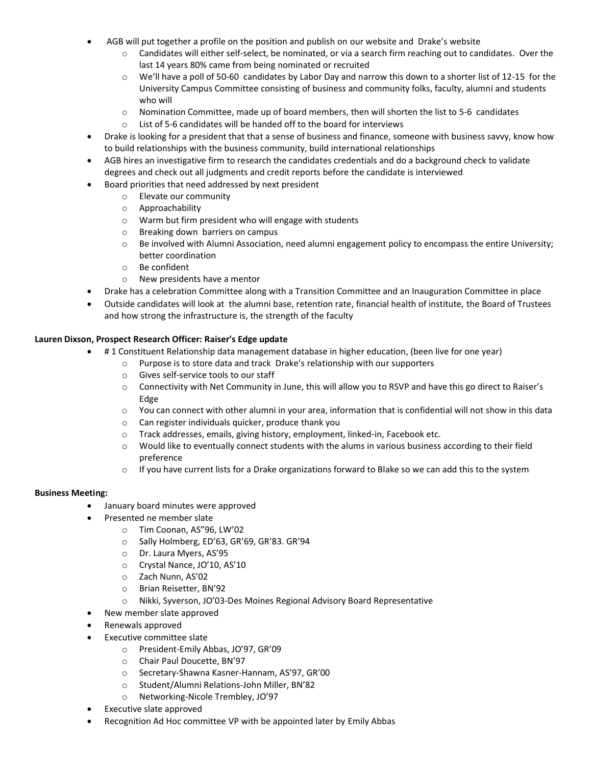- AGB will put together a profile on the position and publish on our website and Drake's website
	- o Candidates will either self-select, be nominated, or via a search firm reaching out to candidates. Over the last 14 years 80% came from being nominated or recruited
	- $\circ$  We'll have a poll of 50-60 candidates by Labor Day and narrow this down to a shorter list of 12-15 for the University Campus Committee consisting of business and community folks, faculty, alumni and students who will
	- $\circ$  Nomination Committee, made up of board members, then will shorten the list to 5-6 candidates
	- o List of 5-6 candidates will be handed off to the board for interviews
- Drake is looking for a president that that a sense of business and finance, someone with business savvy, know how to build relationships with the business community, build international relationships
- AGB hires an investigative firm to research the candidates credentials and do a background check to validate degrees and check out all judgments and credit reports before the candidate is interviewed
- Board priorities that need addressed by next president
	- o Elevate our community
	- o Approachability
	- o Warm but firm president who will engage with students
	- o Breaking down barriers on campus
	- $\circ$  Be involved with Alumni Association, need alumni engagement policy to encompass the entire University; better coordination
	- o Be confident
	- o New presidents have a mentor
- Drake has a celebration Committee along with a Transition Committee and an Inauguration Committee in place
- Outside candidates will look at the alumni base, retention rate, financial health of institute, the Board of Trustees and how strong the infrastructure is, the strength of the faculty

#### **Lauren Dixson, Prospect Research Officer: Raiser's Edge update**

- # 1 Constituent Relationship data management database in higher education, (been live for one year)
	- o Purpose is to store data and track Drake's relationship with our supporters
		- o Gives self-service tools to our staff
		- o Connectivity with Net Community in June, this will allow you to RSVP and have this go direct to Raiser's Edge
		- o You can connect with other alumni in your area, information that is confidential will not show in this data
		- o Can register individuals quicker, produce thank you
		- o Track addresses, emails, giving history, employment, linked-in, Facebook etc.
		- o Would like to eventually connect students with the alums in various business according to their field preference
		- $\circ$  If you have current lists for a Drake organizations forward to Blake so we can add this to the system

#### **Business Meeting:**

- January board minutes were approved
- Presented ne member slate
	- o Tim Coonan, AS"96, LW'02
	- o Sally Holmberg, ED'63, GR'69, GR'83. GR'94
	- o Dr. Laura Myers, AS'95
	- o Crystal Nance, JO'10, AS'10
	- o Zach Nunn, AS'02
	- o Brian Reisetter, BN'92
	- o Nikki, Syverson, JO'03-Des Moines Regional Advisory Board Representative
- New member slate approved
- Renewals approved
- Executive committee slate
	- o President-Emily Abbas, JO'97, GR'09
	- o Chair Paul Doucette, BN'97
	- o Secretary-Shawna Kasner-Hannam, AS'97, GR'00
	- o Student/Alumni Relations-John Miller, BN'82
	- o Networking-Nicole Trembley, JO'97
- Executive slate approved
- Recognition Ad Hoc committee VP with be appointed later by Emily Abbas